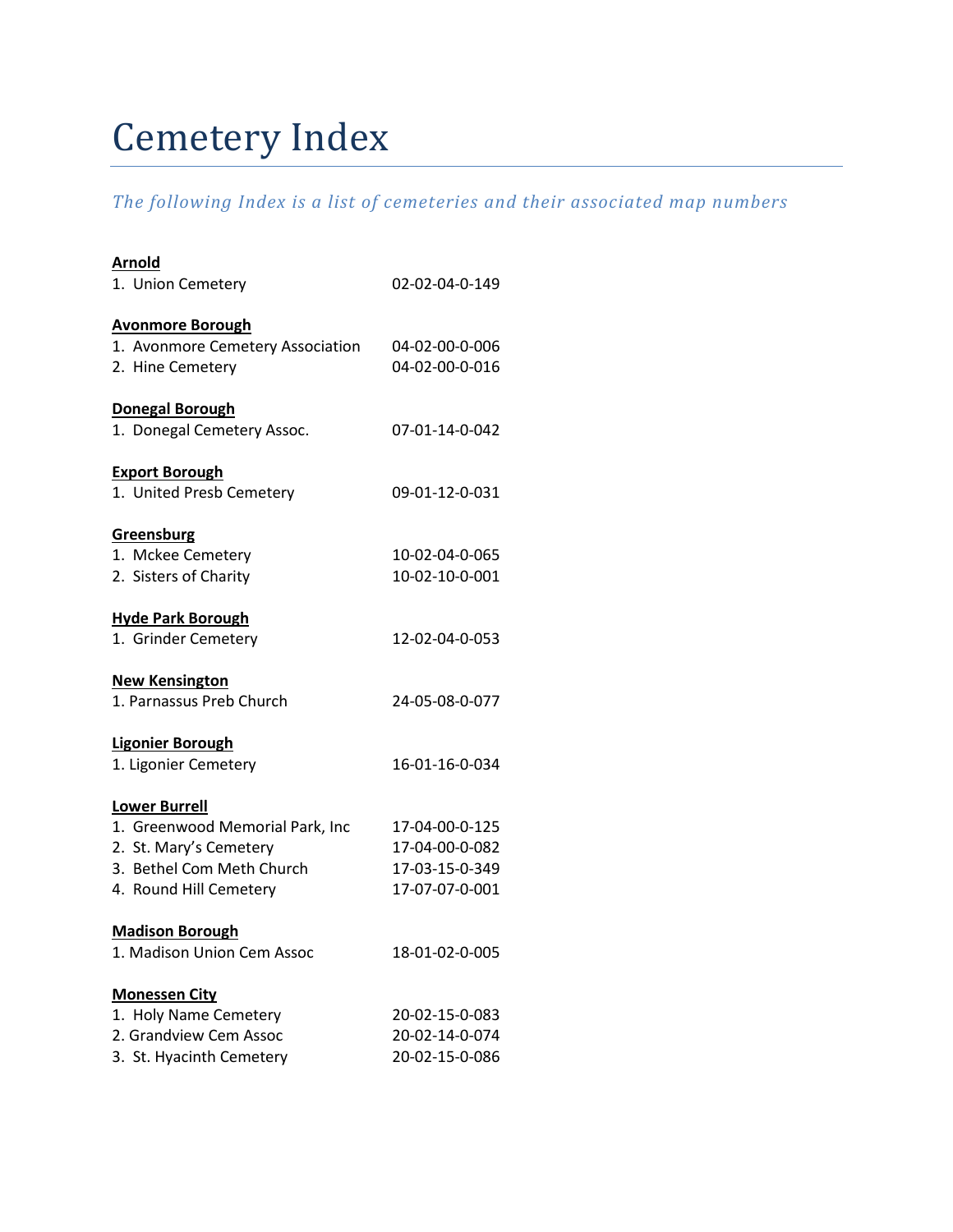## Cemetery Index

## *The following Index is a list of cemeteries and their associated map numbers*

| <b>Arnold</b>                    |                |  |
|----------------------------------|----------------|--|
| 1. Union Cemetery                | 02-02-04-0-149 |  |
| <b>Avonmore Borough</b>          |                |  |
| 1. Avonmore Cemetery Association | 04-02-00-0-006 |  |
| 2. Hine Cemetery                 | 04-02-00-0-016 |  |
| <b>Donegal Borough</b>           |                |  |
| 1. Donegal Cemetery Assoc.       | 07-01-14-0-042 |  |
| <b>Export Borough</b>            |                |  |
| 1. United Presb Cemetery         | 09-01-12-0-031 |  |
| Greensburg                       |                |  |
| 1. Mckee Cemetery                | 10-02-04-0-065 |  |
| 2. Sisters of Charity            | 10-02-10-0-001 |  |
| <b>Hyde Park Borough</b>         |                |  |
| 1. Grinder Cemetery              | 12-02-04-0-053 |  |
| <b>New Kensington</b>            |                |  |
| 1. Parnassus Preb Church         | 24-05-08-0-077 |  |
| <b>Ligonier Borough</b>          |                |  |
| 1. Ligonier Cemetery             | 16-01-16-0-034 |  |
| <b>Lower Burrell</b>             |                |  |
| 1. Greenwood Memorial Park, Inc  | 17-04-00-0-125 |  |
| 2. St. Mary's Cemetery           | 17-04-00-0-082 |  |
| 3. Bethel Com Meth Church        | 17-03-15-0-349 |  |
| 4. Round Hill Cemetery           | 17-07-07-0-001 |  |
| <b>Madison Borough</b>           |                |  |
| 1. Madison Union Cem Assoc       | 18-01-02-0-005 |  |
| <b>Monessen City</b>             |                |  |
| 1. Holy Name Cemetery            | 20-02-15-0-083 |  |
| 2. Grandview Cem Assoc           | 20-02-14-0-074 |  |
| 3. St. Hyacinth Cemetery         | 20-02-15-0-086 |  |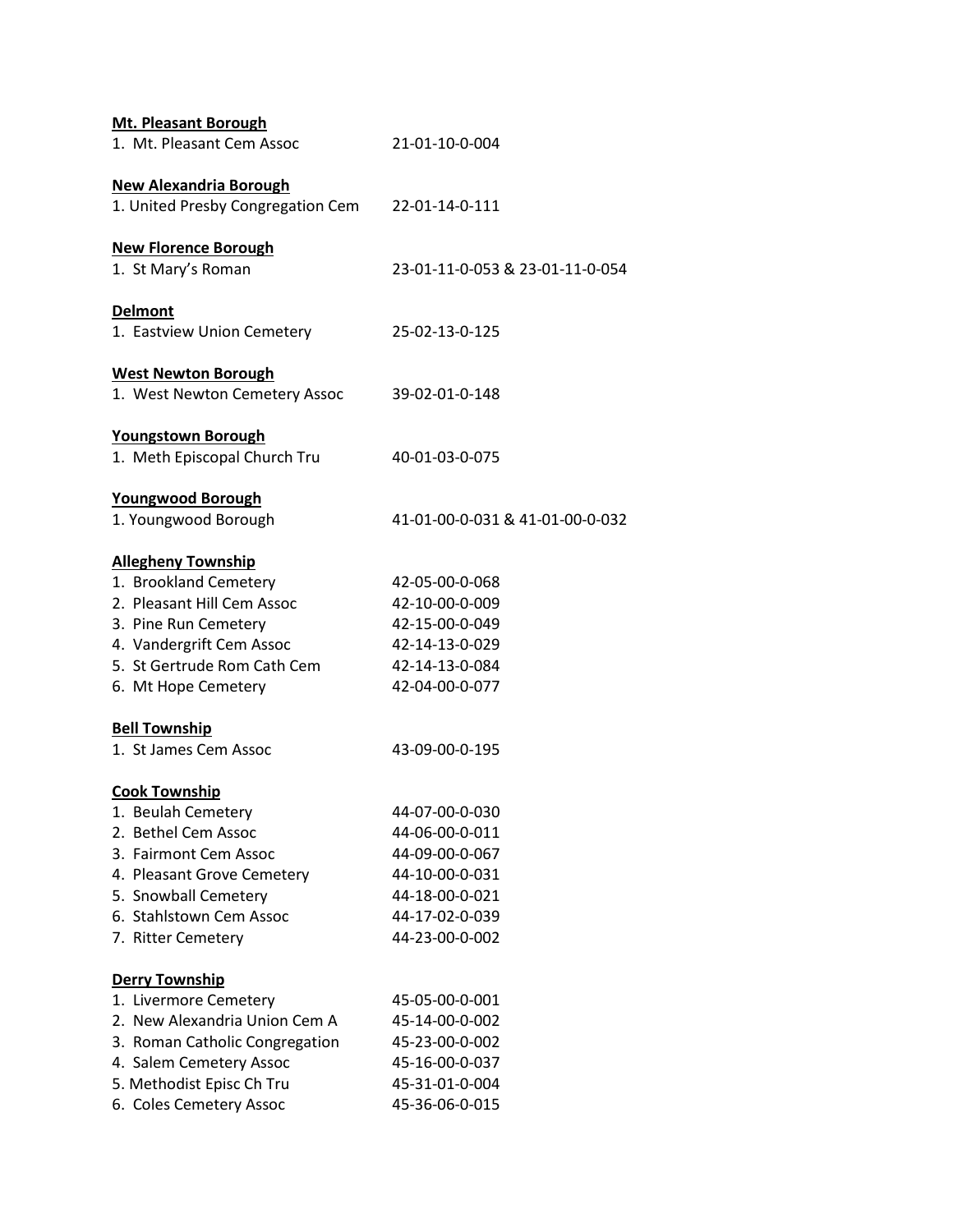| <b>Mt. Pleasant Borough</b><br>1. Mt. Pleasant Cem Assoc           | 21-01-10-0-004                  |
|--------------------------------------------------------------------|---------------------------------|
| <b>New Alexandria Borough</b><br>1. United Presby Congregation Cem | 22-01-14-0-111                  |
| <b>New Florence Borough</b><br>1. St Mary's Roman                  | 23-01-11-0-053 & 23-01-11-0-054 |
| <b>Delmont</b><br>1. Eastview Union Cemetery                       | 25-02-13-0-125                  |
| <b>West Newton Borough</b><br>1. West Newton Cemetery Assoc        | 39-02-01-0-148                  |
| <b>Youngstown Borough</b>                                          |                                 |
| 1. Meth Episcopal Church Tru                                       | 40-01-03-0-075                  |
| <b>Youngwood Borough</b>                                           |                                 |
| 1. Youngwood Borough                                               | 41-01-00-0-031 & 41-01-00-0-032 |
| <b>Allegheny Township</b>                                          |                                 |
| 1. Brookland Cemetery                                              | 42-05-00-0-068                  |
| 2. Pleasant Hill Cem Assoc                                         | 42-10-00-0-009                  |
| 3. Pine Run Cemetery                                               | 42-15-00-0-049                  |
| 4. Vandergrift Cem Assoc                                           | 42-14-13-0-029                  |
| 5. St Gertrude Rom Cath Cem                                        | 42-14-13-0-084                  |
| 6. Mt Hope Cemetery                                                | 42-04-00-0-077                  |
| <b>Bell Township</b>                                               |                                 |
| 1. St James Cem Assoc                                              | 43-09-00-0-195                  |
| <b>Cook Township</b>                                               |                                 |
| 1. Beulah Cemetery                                                 | 44-07-00-0-030                  |
| 2. Bethel Cem Assoc                                                | 44-06-00-0-011                  |
| 3. Fairmont Cem Assoc                                              | 44-09-00-0-067                  |
| 4. Pleasant Grove Cemetery                                         | 44-10-00-0-031                  |
| 5. Snowball Cemetery                                               | 44-18-00-0-021                  |
| 6. Stahlstown Cem Assoc                                            | 44-17-02-0-039                  |
| 7. Ritter Cemetery                                                 | 44-23-00-0-002                  |
| <b>Derry Township</b>                                              |                                 |
| 1. Livermore Cemetery                                              | 45-05-00-0-001                  |
| 2. New Alexandria Union Cem A                                      | 45-14-00-0-002                  |
| 3. Roman Catholic Congregation                                     | 45-23-00-0-002                  |
| 4. Salem Cemetery Assoc                                            | 45-16-00-0-037                  |
| 5. Methodist Episc Ch Tru                                          | 45-31-01-0-004                  |
| 6. Coles Cemetery Assoc                                            | 45-36-06-0-015                  |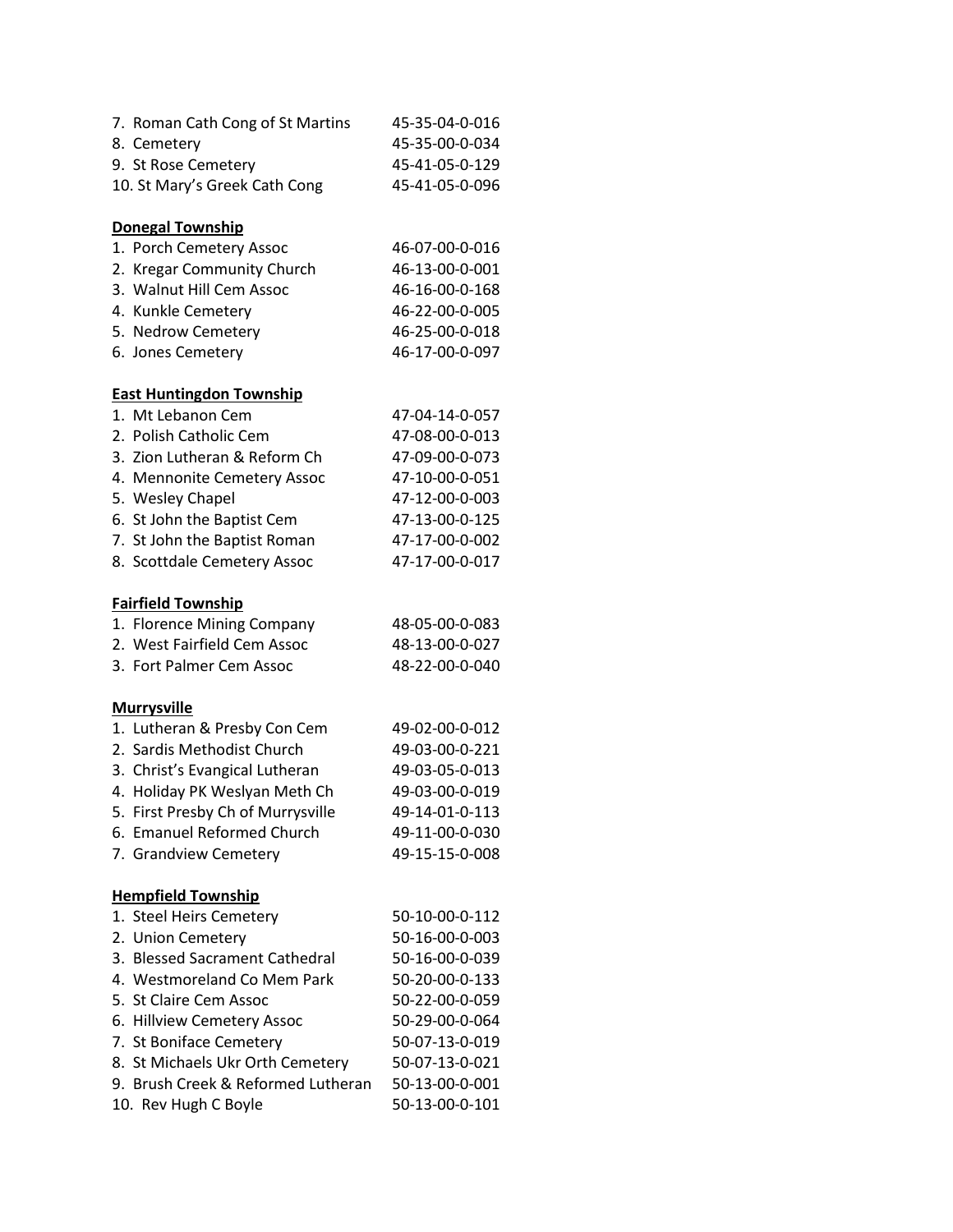| 7. Roman Cath Cong of St Martins                           | 45-35-04-0-016 |
|------------------------------------------------------------|----------------|
| 8. Cemetery                                                | 45-35-00-0-034 |
| 9. St Rose Cemetery                                        | 45-41-05-0-129 |
| 10. St Mary's Greek Cath Cong                              | 45-41-05-0-096 |
|                                                            |                |
| <b>Donegal Township</b>                                    |                |
| 1. Porch Cemetery Assoc                                    | 46-07-00-0-016 |
| 2. Kregar Community Church                                 | 46-13-00-0-001 |
| 3. Walnut Hill Cem Assoc                                   | 46-16-00-0-168 |
| 4. Kunkle Cemetery                                         | 46-22-00-0-005 |
| 5. Nedrow Cemetery                                         | 46-25-00-0-018 |
| 6. Jones Cemetery                                          | 46-17-00-0-097 |
| <b>East Huntingdon Township</b>                            |                |
| 1. Mt Lebanon Cem                                          | 47-04-14-0-057 |
| 2. Polish Catholic Cem                                     | 47-08-00-0-013 |
| 3. Zion Lutheran & Reform Ch                               | 47-09-00-0-073 |
| 4. Mennonite Cemetery Assoc                                | 47-10-00-0-051 |
| 5. Wesley Chapel                                           | 47-12-00-0-003 |
| 6. St John the Baptist Cem                                 | 47-13-00-0-125 |
| 7. St John the Baptist Roman                               | 47-17-00-0-002 |
| 8. Scottdale Cemetery Assoc                                | 47-17-00-0-017 |
|                                                            |                |
| <b>Fairfield Township</b>                                  |                |
| 1. Florence Mining Company                                 | 48-05-00-0-083 |
| 2. West Fairfield Cem Assoc                                | 48-13-00-0-027 |
| 3. Fort Palmer Cem Assoc                                   | 48-22-00-0-040 |
|                                                            |                |
| <b>Murrysville</b>                                         |                |
| 1. Lutheran & Presby Con Cem<br>2. Sardis Methodist Church | 49-02-00-0-012 |
|                                                            | 49-03-00-0-221 |
| 3. Christ's Evangical Lutheran                             | 49-03-05-0-013 |
| 4. Holiday PK Weslyan Meth Ch                              | 49-03-00-0-019 |
| 5. First Presby Ch of Murrysville                          | 49-14-01-0-113 |
| 6. Emanuel Reformed Church                                 | 49-11-00-0-030 |
| 7. Grandview Cemetery                                      | 49-15-15-0-008 |
| <b>Hempfield Township</b>                                  |                |
| 1. Steel Heirs Cemetery                                    | 50-10-00-0-112 |
| 2. Union Cemetery                                          | 50-16-00-0-003 |
| 3. Blessed Sacrament Cathedral                             | 50-16-00-0-039 |
| 4. Westmoreland Co Mem Park                                | 50-20-00-0-133 |
| 5. St Claire Cem Assoc                                     | 50-22-00-0-059 |
| 6. Hillview Cemetery Assoc                                 | 50-29-00-0-064 |
| 7. St Boniface Cemetery                                    | 50-07-13-0-019 |
| 8. St Michaels Ukr Orth Cemetery                           | 50-07-13-0-021 |
| 9. Brush Creek & Reformed Lutheran                         | 50-13-00-0-001 |
| 10. Rev Hugh C Boyle                                       | 50-13-00-0-101 |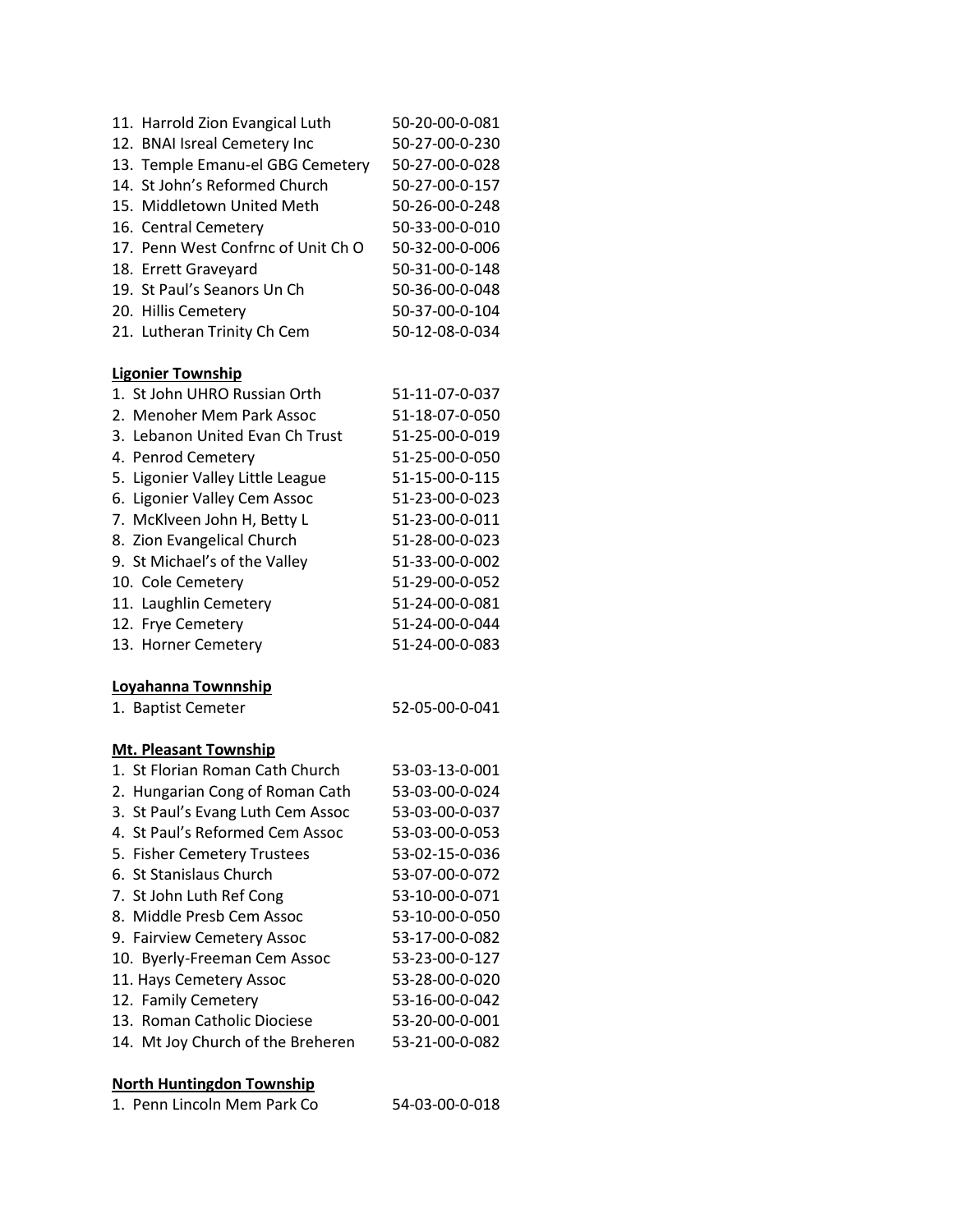| 11. Harrold Zion Evangical Luth    | 50-20-00-0-081 |
|------------------------------------|----------------|
| 12. BNAI Isreal Cemetery Inc       | 50-27-00-0-230 |
| 13. Temple Emanu-el GBG Cemetery   | 50-27-00-0-028 |
| 14. St John's Reformed Church      | 50-27-00-0-157 |
| 15. Middletown United Meth         | 50-26-00-0-248 |
| 16. Central Cemetery               | 50-33-00-0-010 |
| 17. Penn West Confrnc of Unit Ch O | 50-32-00-0-006 |
| 18. Errett Graveyard               | 50-31-00-0-148 |
| 19. St Paul's Seanors Un Ch        | 50-36-00-0-048 |
| 20. Hillis Cemetery                | 50-37-00-0-104 |
| 21. Lutheran Trinity Ch Cem        | 50-12-08-0-034 |
| <b>Ligonier Township</b>           |                |
| 1. St John UHRO Russian Orth       | 51-11-07-0-037 |
| 2. Menoher Mem Park Assoc          | 51-18-07-0-050 |
| 3. Lebanon United Evan Ch Trust    | 51-25-00-0-019 |
| 4. Penrod Cemetery                 | 51-25-00-0-050 |
| 5. Ligonier Valley Little League   | 51-15-00-0-115 |
| 6. Ligonier Valley Cem Assoc       | 51-23-00-0-023 |
| 7. McKlveen John H, Betty L        | 51-23-00-0-011 |
| 8. Zion Evangelical Church         | 51-28-00-0-023 |
| 9. St Michael's of the Valley      | 51-33-00-0-002 |
| 10. Cole Cemetery                  | 51-29-00-0-052 |
| 11. Laughlin Cemetery              | 51-24-00-0-081 |
| 12. Frye Cemetery                  | 51-24-00-0-044 |
| 13. Horner Cemetery                | 51-24-00-0-083 |
| Loyahanna Townnship                |                |
| 1. Baptist Cemeter                 | 52-05-00-0-041 |
| <b>Mt. Pleasant Township</b>       |                |
| 1. St Florian Roman Cath Church    | 53-03-13-0-001 |
| 2. Hungarian Cong of Roman Cath    | 53-03-00-0-024 |
| 3. St Paul's Evang Luth Cem Assoc  | 53-03-00-0-037 |
| 4. St Paul's Reformed Cem Assoc    | 53-03-00-0-053 |
| 5. Fisher Cemetery Trustees        | 53-02-15-0-036 |
| 6. St Stanislaus Church            | 53-07-00-0-072 |
| 7. St John Luth Ref Cong           | 53-10-00-0-071 |
| 8. Middle Presb Cem Assoc          | 53-10-00-0-050 |
| 9. Fairview Cemetery Assoc         | 53-17-00-0-082 |
| 10. Byerly-Freeman Cem Assoc       | 53-23-00-0-127 |
| 11. Hays Cemetery Assoc            | 53-28-00-0-020 |
| 12. Family Cemetery                | 53-16-00-0-042 |
| 13. Roman Catholic Diociese        | 53-20-00-0-001 |
| 14. Mt Joy Church of the Breheren  | 53-21-00-0-082 |
|                                    |                |

## **North Huntingdon Township**

|  | 1. Penn Lincoln Mem Park Co | 54-03-00-0-018 |
|--|-----------------------------|----------------|
|  |                             |                |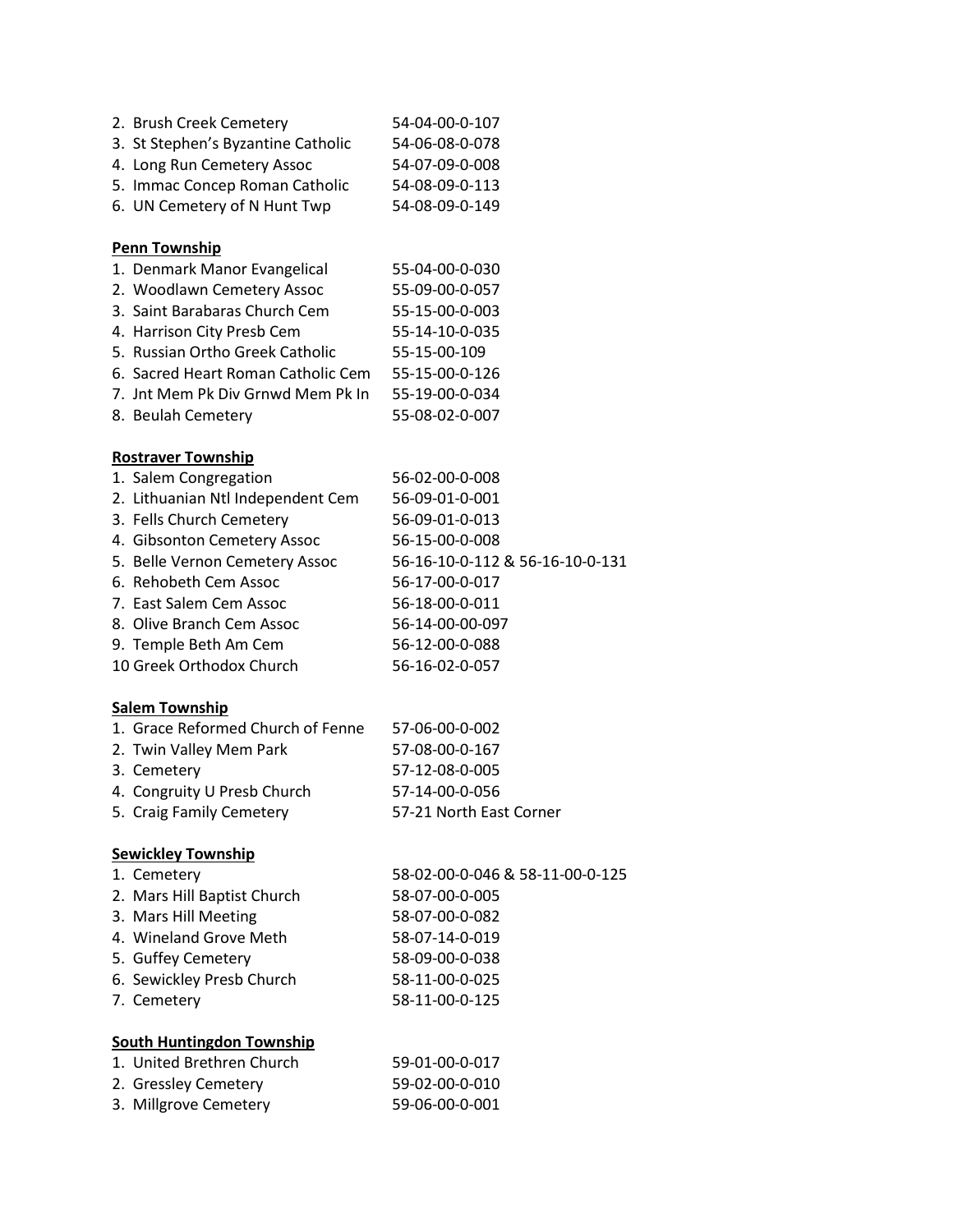| 2. Brush Creek Cemetery            | 54-04-00-0-107                  |
|------------------------------------|---------------------------------|
| 3. St Stephen's Byzantine Catholic | 54-06-08-0-078                  |
| 4. Long Run Cemetery Assoc         | 54-07-09-0-008                  |
| 5. Immac Concep Roman Catholic     | 54-08-09-0-113                  |
| 6. UN Cemetery of N Hunt Twp       | 54-08-09-0-149                  |
|                                    |                                 |
| <b>Penn Township</b>               |                                 |
| 1. Denmark Manor Evangelical       | 55-04-00-0-030                  |
| 2. Woodlawn Cemetery Assoc         | 55-09-00-0-057                  |
| 3. Saint Barabaras Church Cem      | 55-15-00-0-003                  |
| 4. Harrison City Presb Cem         | 55-14-10-0-035                  |
| 5. Russian Ortho Greek Catholic    | 55-15-00-109                    |
| 6. Sacred Heart Roman Catholic Cem | 55-15-00-0-126                  |
| 7. Jnt Mem Pk Div Grnwd Mem Pk In  | 55-19-00-0-034                  |
| 8. Beulah Cemetery                 | 55-08-02-0-007                  |
|                                    |                                 |
| <b>Rostraver Township</b>          |                                 |
| 1. Salem Congregation              | 56-02-00-0-008                  |
| 2. Lithuanian Ntl Independent Cem  | 56-09-01-0-001                  |
| 3. Fells Church Cemetery           | 56-09-01-0-013                  |
| 4. Gibsonton Cemetery Assoc        | 56-15-00-0-008                  |
| 5. Belle Vernon Cemetery Assoc     | 56-16-10-0-112 & 56-16-10-0-131 |
| 6. Rehobeth Cem Assoc              | 56-17-00-0-017                  |
| 7. East Salem Cem Assoc            | 56-18-00-0-011                  |
| 8. Olive Branch Cem Assoc          | 56-14-00-00-097                 |
| 9. Temple Beth Am Cem              | 56-12-00-0-088                  |
| 10 Greek Orthodox Church           | 56-16-02-0-057                  |
|                                    |                                 |
| <b>Salem Township</b>              |                                 |
| 1. Grace Reformed Church of Fenne  | 57-06-00-0-002                  |
| 2. Twin Valley Mem Park            | 57-08-00-0-167                  |
| 3. Cemetery                        | 57-12-08-0-005                  |
| 4. Congruity U Presb Church        | 57-14-00-0-056                  |
| 5. Craig Family Cemetery           | 57-21 North East Corner         |
| <b>Sewickley Township</b>          |                                 |
| 1. Cemetery                        | 58-02-00-0-046 & 58-11-00-0-125 |
| 2. Mars Hill Baptist Church        | 58-07-00-0-005                  |
| 3. Mars Hill Meeting               | 58-07-00-0-082                  |
| 4. Wineland Grove Meth             | 58-07-14-0-019                  |
| 5. Guffey Cemetery                 | 58-09-00-0-038                  |
| 6. Sewickley Presb Church          | 58-11-00-0-025                  |
| 7. Cemetery                        | 58-11-00-0-125                  |
|                                    |                                 |
| <b>South Huntingdon Township</b>   |                                 |
| 1. United Brethren Church          | 59-01-00-0-017                  |
| 2. Gressley Cemetery               | 59-02-00-0-010                  |
| 3. Millgrove Cemetery              | 59-06-00-0-001                  |
|                                    |                                 |